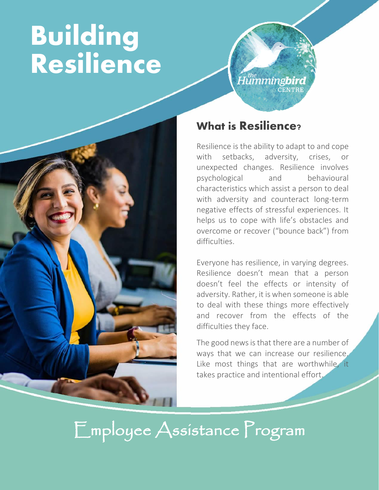# **Building Resilience**





#### What is Resilience?

Resilience is the ability to adapt to and cope with setbacks, adversity, crises, or unexpected changes. Resilience involves psychological and behavioural characteristics which assist a person to deal with adversity and counteract long-term negative effects of stressful experiences. It helps us to cope with life's obstacles and overcome or recover ("bounce back") from difficulties.

Everyone has resilience, in varying degrees. Resilience doesn't mean that a person doesn't feel the effects or intensity of adversity. Rather, it is when someone is able to deal with these things more effectively and recover from the effects of the difficulties they face.

The good news is that there are a number of ways that we can increase our resilience. Like most things that are worthwhile, it takes practice and intentional effort.

Employee Assistance Program

į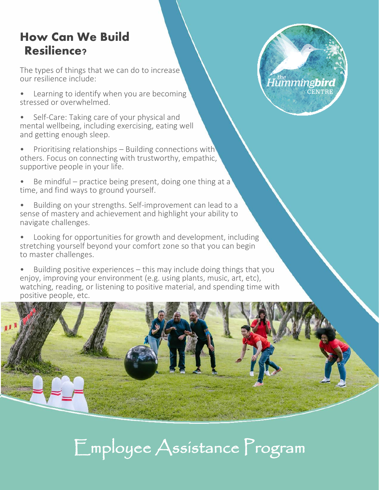### How Can We Build Resilience?

The types of things that we can do to increase our resilience include:

- Learning to identify when you are becoming stressed or overwhelmed.
- Self-Care: Taking care of your physical and mental wellbeing, including exercising, eating well and getting enough sleep.
- Prioritising relationships Building connections with others. Focus on connecting with trustworthy, empathic, supportive people in your life.
- Be mindful practice being present, doing one thing at a time, and find ways to ground yourself.
- Building on your strengths. Self-improvement can lead to a sense of mastery and achievement and highlight your ability to navigate challenges.
- Looking for opportunities for growth and development, including stretching yourself beyond your comfort zone so that you can begin to master challenges.
- Building positive experiences this may include doing things that you enjoy, improving your environment (e.g. using plants, music, art, etc), watching, reading, or listening to positive material, and spending time with positive people, etc.



Employee Assistance Program

.<br>Humming**bird CENTRE**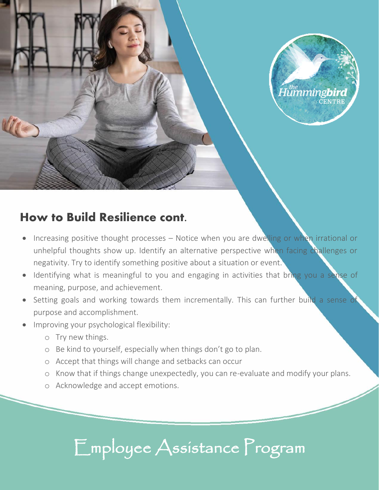

#### How to Build Resilience cont.

- Increasing positive thought processes Notice when you are dwelling or when irrational or unhelpful thoughts show up. Identify an alternative perspective when facing challenges or negativity. Try to identify something positive about a situation or event.
- Identifying what is meaningful to you and engaging in activities that bring you a sense of meaning, purpose, and achievement.
- Setting goals and working towards them incrementally. This can further build a sense of purpose and accomplishment.
- Improving your psychological flexibility:
	- o Try new things.
	- o Be kind to yourself, especially when things don't go to plan.
	- o Accept that things will change and setbacks can occur
	- o Know that if things change unexpectedly, you can re-evaluate and modify your plans.
	- o Acknowledge and accept emotions.

## Employee Assistance Program